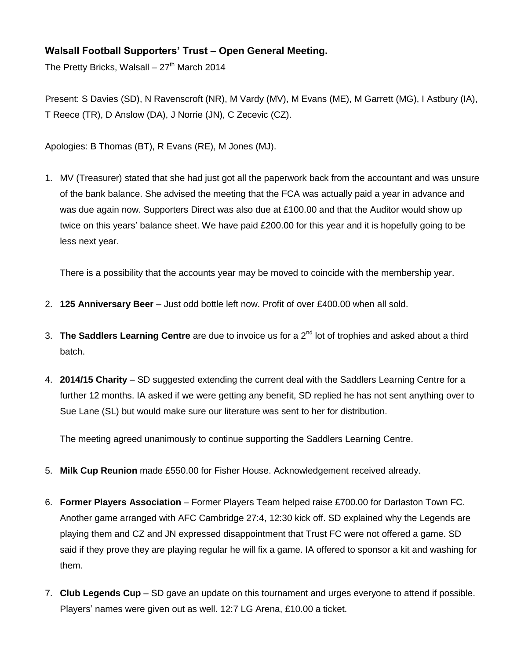## **Walsall Football Supporters' Trust – Open General Meeting.**

The Pretty Bricks, Walsall –  $27<sup>th</sup>$  March 2014

Present: S Davies (SD), N Ravenscroft (NR), M Vardy (MV), M Evans (ME), M Garrett (MG), I Astbury (IA), T Reece (TR), D Anslow (DA), J Norrie (JN), C Zecevic (CZ).

Apologies: B Thomas (BT), R Evans (RE), M Jones (MJ).

1. MV (Treasurer) stated that she had just got all the paperwork back from the accountant and was unsure of the bank balance. She advised the meeting that the FCA was actually paid a year in advance and was due again now. Supporters Direct was also due at £100.00 and that the Auditor would show up twice on this years' balance sheet. We have paid £200.00 for this year and it is hopefully going to be less next year.

There is a possibility that the accounts year may be moved to coincide with the membership year.

- 2. **125 Anniversary Beer** Just odd bottle left now. Profit of over £400.00 when all sold.
- 3. **The Saddlers Learning Centre** are due to invoice us for a 2nd lot of trophies and asked about a third batch.
- 4. **2014/15 Charity** SD suggested extending the current deal with the Saddlers Learning Centre for a further 12 months. IA asked if we were getting any benefit, SD replied he has not sent anything over to Sue Lane (SL) but would make sure our literature was sent to her for distribution.

The meeting agreed unanimously to continue supporting the Saddlers Learning Centre.

- 5. **Milk Cup Reunion** made £550.00 for Fisher House. Acknowledgement received already.
- 6. **Former Players Association** Former Players Team helped raise £700.00 for Darlaston Town FC. Another game arranged with AFC Cambridge 27:4, 12:30 kick off. SD explained why the Legends are playing them and CZ and JN expressed disappointment that Trust FC were not offered a game. SD said if they prove they are playing regular he will fix a game. IA offered to sponsor a kit and washing for them.
- 7. **Club Legends Cup** SD gave an update on this tournament and urges everyone to attend if possible. Players' names were given out as well. 12:7 LG Arena, £10.00 a ticket.